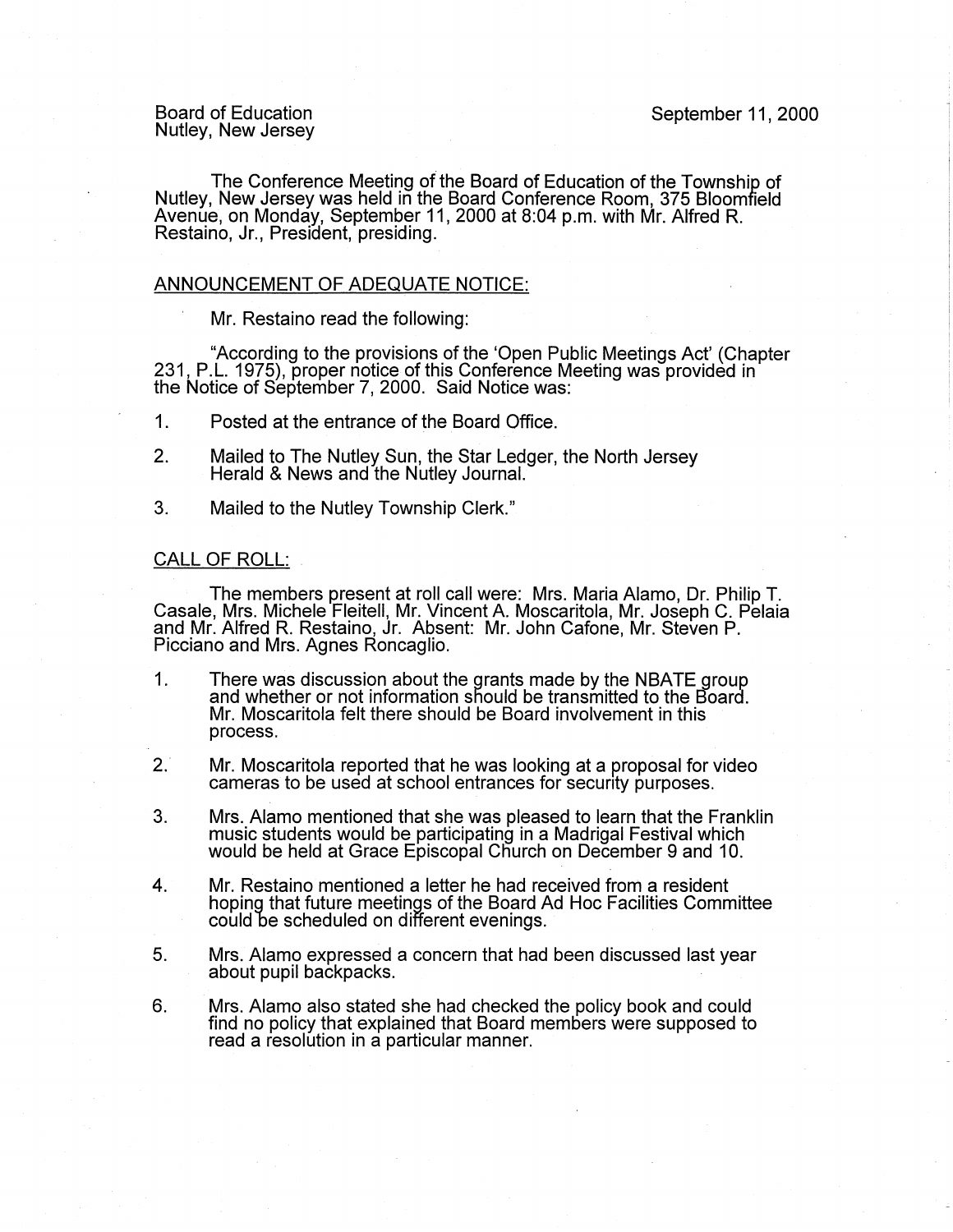Board of Education Nutley, New Jersey September 11, 2000

The Conference Meeting of the Board of Education of the Township of Nutley, New Jersey was held in the Board Conference Room, 375 Bloomfield Avenue, on Monday, September 11, 2000 at 8:04 p.m. with Mr. Alfred R. Restaino, Jr., President, presiding.

## ANNOUNCEMENT OF ADEQUATE NOTICE:

Mr. Restaino read the following:

"According to the provisions of the 'Open Public Meetings Act' (Chapter 231, P.L. 1975), proper notice of this Conference Meeting was provided in  $\dot{}$ the Notice of September 7, 2000. Said Notice was:

- 1. Posted at the entrance of the Board Office.
- 2. Mailed to The Nutley Sun, the Star Ledger, the North Jersey Herald & News and the Nutley Journal.
- 3. Mailed to the Nutley Township Clerk."

## CALL OF ROLL:

The members present at roll call were: Mrs. Maria Alamo, Dr. Philip T. Casale, Mrs. Michele Fleitell, Mr. Vincent A. Moscaritola, Mr. Joseph C. Pelaia and Mr. Alfred R. Restaino, Jr. Absent: Mr. John Catone, Mr. Steven P. Picciano and Mrs. Agnes Roncaglio.

- 1. There was discussion about the grants made by the NBATE group and whether or not information should be transmitted to the Board. Mr. Moscaritola felt there should be Board involvement in this process.
- 2. Mr. Moscaritola reported that he was looking at a proposal for video cameras to be used at school entrances for security purposes.
- 3. Mrs. Alamo mentioned that she was pleased to learn that the Franklin music students would be participating in a Madrigal Festival which would be held at Grace Episcopal Church on December 9 and 10.
- 4. Mr. Restaino mentioned a letter he had received from a resident hoping that future meetings of the Board Ad Hoc Facilities Committee could be scheduled on different evenings.
- 5. Mrs. Alamo expressed a concern that had been discussed last year about pupil backpacks.
- 6. Mrs. Alamo also stated she had checked the policy book and could find no policy that explained that Board members were supposed to read a resolution in a particular manner.